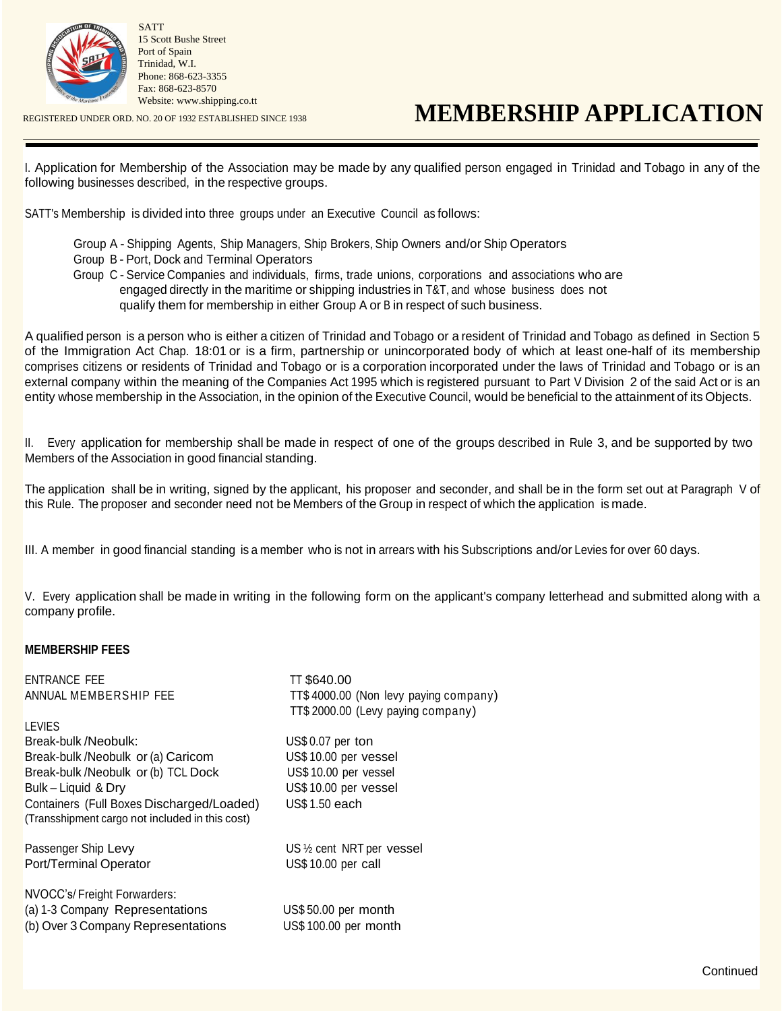

SATT 15 Scott Bushe Street Port of Spain Trinidad, W.I. Phone: 868-623-3355 Fax: 868-623-8570 [Website: www.shipping.co.tt](http://www.shipping.co.tt/)

## REGISTERED UNDER ORD. NO. 20 OF 1932 ESTABLISHED SINCE 1938 **MEMBERSHIP APPLICATION**

I. Application for Membership of the Association may be made by any qualified person engaged in Trinidad and Tobago in any of the following businesses described, in the respective groups.

SATT's Membership is divided into three groups under an Executive Council as follows:

- Group A Shipping Agents, Ship Managers, Ship Brokers, Ship Owners and/or Ship Operators
- Group B Port, Dock and Terminal Operators

Group C - Service Companies and individuals, firms, trade unions, corporations and associations who are engaged directly in the maritime or shipping industries in T&T, and whose business does not qualify them for membership in either Group A or B in respect of such business.

A qualified person is a person who is either a citizen of Trinidad and Tobago or a resident of Trinidad and Tobago as defined in Section 5 of the Immigration Act Chap. 18:01 or is a firm, partnership or unincorporated body of which at least one-half of its membership comprises citizens or residents of Trinidad and Tobago or is a corporation incorporated under the laws of Trinidad and Tobago or is an external company within the meaning of the Companies Act 1995 which is registered pursuant to Part V Division 2 of the said Act or is an entity whose membership in the Association, in the opinion of the Executive Council, would be beneficial to the attainment of its Objects.

II. Every application for membership shall be made in respect of one of the groups described in Rule 3, and be supported by two Members of the Association in good financial standing.

The application shall be in writing, signed by the applicant, his proposer and seconder, and shall be in the form set out at Paragraph V of this Rule. The proposer and seconder need not be Members of the Group in respect of which the application is made.

III. A member in good financial standing is a member who is not in arrears with his Subscriptions and/or Levies for over 60 days.

V. Every application shall be made in writing in the following form on the applicant's company letterhead and submitted along with a company profile.

## **MEMBERSHIP FEES**

ENTRANCE FEE TT \$640.00

**LEVIES** Break-bulk /Neobulk: US\$ 0.07 per ton Break-bulk /Neobulk or (a) Caricom US\$ 10.00 per vessel<br>Break-bulk /Neobulk or (b) TCL Dock US\$ 10.00 per vessel Break-bulk /Neobulk or (b) TCL Dock Bulk – Liquid & Dry US\$ 10.00 per vessel Containers (Full Boxes Discharged/Loaded) US\$ 1.50 each (Transshipment cargo not included in this cost)

Port/Terminal Operator US\$ 10.00 per call

NVOCC's/ Freight Forwarders: (a) 1-3 Company Representations US\$ 50.00 per month (b) Over 3 Company Representations US\$ 100.00 per month

ANNUAL MEMBERSHIP FEE TT\$ 4000.00 (Non levy paying company) TT\$ 2000.00 (Levy paying company)

Passenger Ship Levy US 1/2 cent NRT per vessel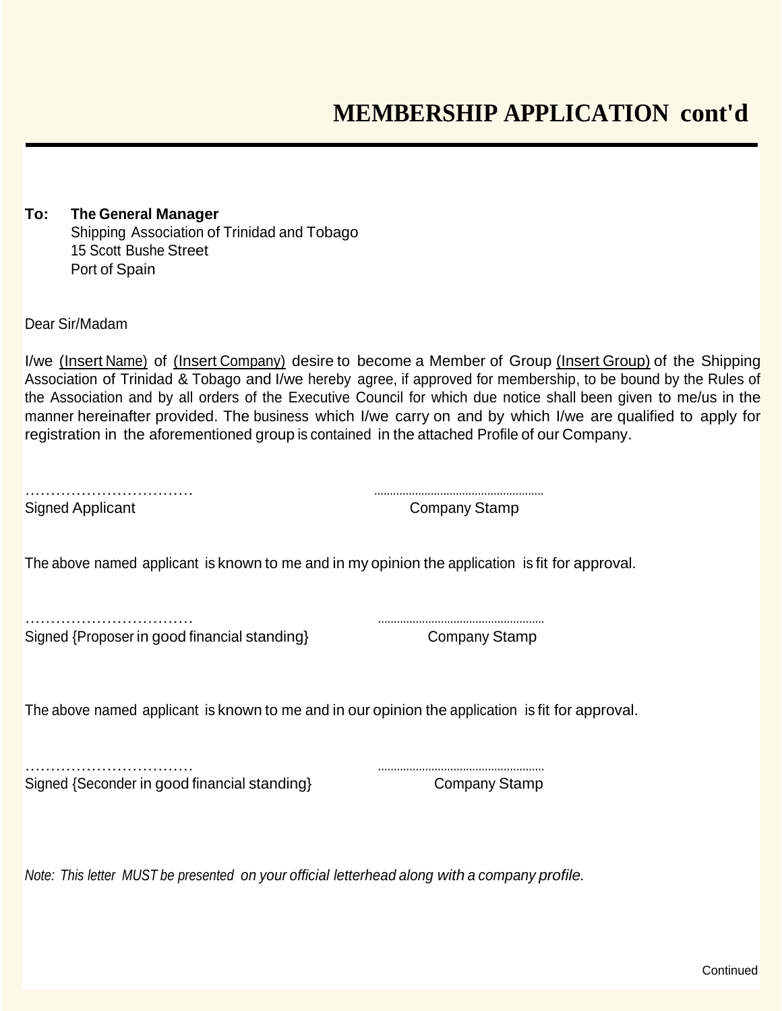**To: The General Manager** Shipping Association of Trinidad and Tobago 15 Scott Bushe Street Port of Spain

Dear Sir/Madam

I/we (Insert Name) of (Insert Company) desire to become a Member of Group (Insert Group) of the Shipping Association of Trinidad & Tobago and I/we hereby agree, if approved for membership, to be bound by the Rules of the Association and by all orders of the Executive Council for which due notice shall been given to me/us in the manner hereinafter provided. The business which I/we carry on and by which I/we are qualified to apply for registration in the aforementioned group is contained in the attached Profile of our Company.

…………………………… ...................................................... Signed Applicant Company Stamp

The above named applicant is known to me and in my opinion the application is fit for approval.

Signed {Proposer in good financial standing} Company Stamp

…………………………… .....................................................

The above named applicant is known to me and in our opinion the application is fit for approval.

…………………………… ..................................................... Signed {Seconder in good financial standing} Company Stamp

*Note: This letter MUST be presented on your official letterhead along with a company profile.*